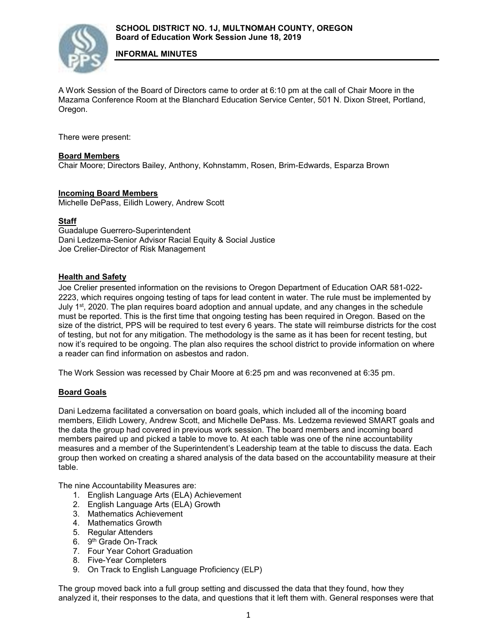

**INFORMAL MINUTES**

A Work Session of the Board of Directors came to order at 6:10 pm at the call of Chair Moore in the Mazama Conference Room at the Blanchard Education Service Center, 501 N. Dixon Street, Portland, Oregon.

There were present:

# **Board Members**

Chair Moore; Directors Bailey, Anthony, Kohnstamm, Rosen, Brim-Edwards, Esparza Brown

# **Incoming Board Members**

Michelle DePass, Eilidh Lowery, Andrew Scott

# **Staff**

Guadalupe Guerrero-Superintendent Dani Ledzema-Senior Advisor Racial Equity & Social Justice Joe Crelier-Director of Risk Management

# **Health and Safety**

Joe Crelier presented information on the revisions to Oregon Department of Education OAR 581-022- 2223, which requires ongoing testing of taps for lead content in water. The rule must be implemented by July  $1^{st}$ , 2020. The plan requires board adoption and annual update, and any changes in the schedule must be reported. This is the first time that ongoing testing has been required in Oregon. Based on the size of the district, PPS will be required to test every 6 years. The state will reimburse districts for the cost of testing, but not for any mitigation. The methodology is the same as it has been for recent testing, but now it's required to be ongoing. The plan also requires the school district to provide information on where a reader can find information on asbestos and radon.

The Work Session was recessed by Chair Moore at 6:25 pm and was reconvened at 6:35 pm.

# **Board Goals**

Dani Ledzema facilitated a conversation on board goals, which included all of the incoming board members, Eilidh Lowery, Andrew Scott, and Michelle DePass. Ms. Ledzema reviewed SMART goals and the data the group had covered in previous work session. The board members and incoming board members paired up and picked a table to move to. At each table was one of the nine accountability measures and a member of the Superintendent's Leadership team at the table to discuss the data. Each group then worked on creating a shared analysis of the data based on the accountability measure at their table.

The nine Accountability Measures are:

- 1. English Language Arts (ELA) Achievement
- 2. English Language Arts (ELA) Growth
- 3. Mathematics Achievement
- 4. Mathematics Growth
- 5. Regular Attenders
- 6. 9th Grade On-Track
- 7. Four Year Cohort Graduation
- 8. Five-Year Completers
- 9. On Track to English Language Proficiency (ELP)

The group moved back into a full group setting and discussed the data that they found, how they analyzed it, their responses to the data, and questions that it left them with. General responses were that